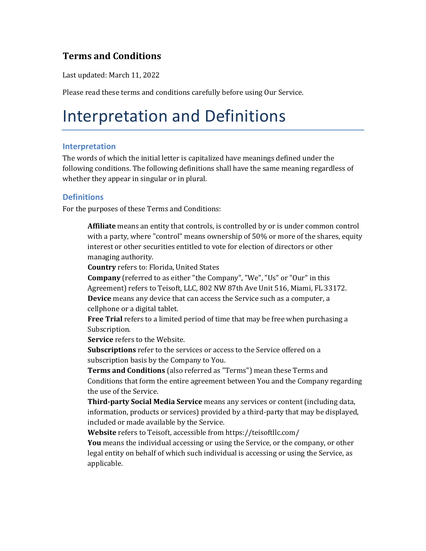### **Terms and Conditions**

Last updated: March 11, 2022

Please read these terms and conditions carefully before using Our Service.

### Interpretation and Definitions

#### **Interpretation**

The words of which the initial letter is capitalized have meanings defined under the following conditions. The following definitions shall have the same meaning regardless of whether they appear in singular or in plural.

#### **Definitions**

For the purposes of these Terms and Conditions:

**Affiliate** means an entity that controls, is controlled by or is under common control with a party, where "control" means ownership of 50% or more of the shares, equity interest or other securities entitled to vote for election of directors or other managing authority.

**Country** refers to: Florida, United States

**Company** (referred to as either "the Company", "We", "Us" or "Our" in this Agreement) refers to Teisoft, LLC, 802 NW 87th Ave Unit 516, Miami, FL 33172. **Device** means any device that can access the Service such as a computer, a cellphone or a digital tablet.

**Free Trial** refers to a limited period of time that may be free when purchasing a Subscription.

**Service** refers to the Website.

**Subscriptions** refer to the services or access to the Service offered on a subscription basis by the Company to You.

**Terms and Conditions** (also referred as "Terms") mean these Terms and Conditions that form the entire agreement between You and the Company regarding the use of the Service.

**Third-party Social Media Service** means any services or content (including data, information, products or services) provided by a third-party that may be displayed, included or made available by the Service.

**Website** refers to Teisoft, accessible from<https://teisoftllc.com/>

**You** means the individual accessing or using the Service, or the company, or other legal entity on behalf of which such individual is accessing or using the Service, as applicable.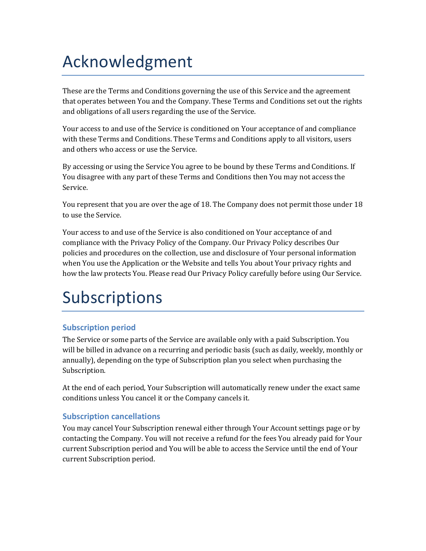## Acknowledgment

These are the Terms and Conditions governing the use of this Service and the agreement that operates between You and the Company. These Terms and Conditions set out the rights and obligations of all users regarding the use of the Service.

Your access to and use of the Service is conditioned on Your acceptance of and compliance with these Terms and Conditions. These Terms and Conditions apply to all visitors, users and others who access or use the Service.

By accessing or using the Service You agree to be bound by these Terms and Conditions. If You disagree with any part of these Terms and Conditions then You may not access the Service.

You represent that you are over the age of 18. The Company does not permit those under 18 to use the Service.

Your access to and use of the Service is also conditioned on Your acceptance of and compliance with the Privacy Policy of the Company. Our Privacy Policy describes Our policies and procedures on the collection, use and disclosure of Your personal information when You use the Application or the Website and tells You about Your privacy rights and how the law protects You. Please read Our Privacy Policy carefully before using Our Service.

# Subscriptions

### **Subscription period**

The Service or some parts of the Service are available only with a paid Subscription. You will be billed in advance on a recurring and periodic basis (such as daily, weekly, monthly or annually), depending on the type of Subscription plan you select when purchasing the Subscription.

At the end of each period, Your Subscription will automatically renew under the exact same conditions unless You cancel it or the Company cancels it.

### **Subscription cancellations**

You may cancel Your Subscription renewal either through Your Account settings page or by contacting the Company. You will not receive a refund for the fees You already paid for Your current Subscription period and You will be able to access the Service until the end of Your current Subscription period.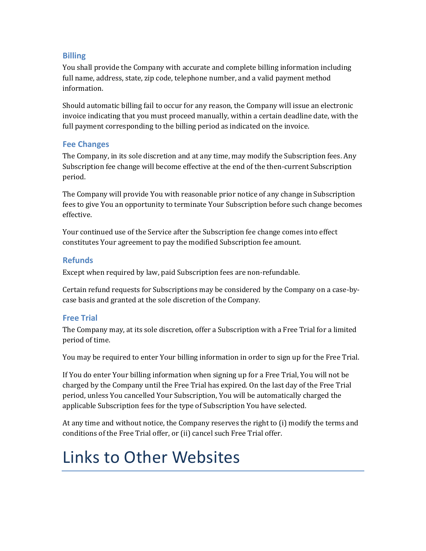### **Billing**

You shall provide the Company with accurate and complete billing information including full name, address, state, zip code, telephone number, and a valid payment method information.

Should automatic billing fail to occur for any reason, the Company will issue an electronic invoice indicating that you must proceed manually, within a certain deadline date, with the full payment corresponding to the billing period as indicated on the invoice.

#### **Fee Changes**

The Company, in its sole discretion and at any time, may modify the Subscription fees. Any Subscription fee change will become effective at the end of the then-current Subscription period.

The Company will provide You with reasonable prior notice of any change in Subscription fees to give You an opportunity to terminate Your Subscription before such change becomes effective.

Your continued use of the Service after the Subscription fee change comes into effect constitutes Your agreement to pay the modified Subscription fee amount.

### **Refunds**

Except when required by law, paid Subscription fees are non-refundable.

Certain refund requests for Subscriptions may be considered by the Company on a case-bycase basis and granted at the sole discretion of the Company.

### **Free Trial**

The Company may, at its sole discretion, offer a Subscription with a Free Trial for a limited period of time.

You may be required to enter Your billing information in order to sign up for the Free Trial.

If You do enter Your billing information when signing up for a Free Trial, You will not be charged by the Company until the Free Trial has expired. On the last day of the Free Trial period, unless You cancelled Your Subscription, You will be automatically charged the applicable Subscription fees for the type of Subscription You have selected.

At any time and without notice, the Company reserves the right to (i) modify the terms and conditions of the Free Trial offer, or (ii) cancel such Free Trial offer.

## Links to Other Websites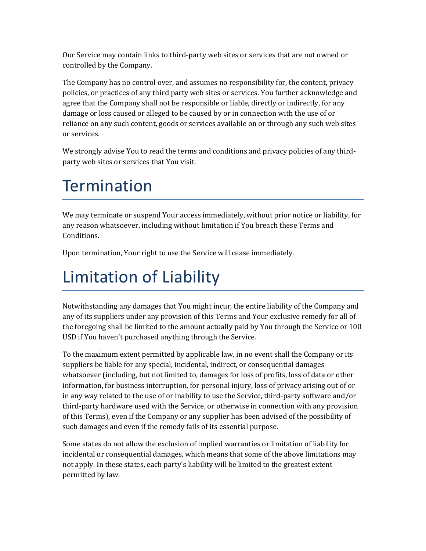Our Service may contain links to third-party web sites or services that are not owned or controlled by the Company.

The Company has no control over, and assumes no responsibility for, the content, privacy policies, or practices of any third party web sites or services. You further acknowledge and agree that the Company shall not be responsible or liable, directly or indirectly, for any damage or loss caused or alleged to be caused by or in connection with the use of or reliance on any such content, goods or services available on or through any such web sites or services.

We strongly advise You to read the terms and conditions and privacy policies of any thirdparty web sites or services that You visit.

## **Termination**

We may terminate or suspend Your access immediately, without prior notice or liability, for any reason whatsoever, including without limitation if You breach these Terms and Conditions.

Upon termination, Your right to use the Service will cease immediately.

# Limitation of Liability

Notwithstanding any damages that You might incur, the entire liability of the Company and any of its suppliers under any provision of this Terms and Your exclusive remedy for all of the foregoing shall be limited to the amount actually paid by You through the Service or 100 USD if You haven't purchased anything through the Service.

To the maximum extent permitted by applicable law, in no event shall the Company or its suppliers be liable for any special, incidental, indirect, or consequential damages whatsoever (including, but not limited to, damages for loss of profits, loss of data or other information, for business interruption, for personal injury, loss of privacy arising out of or in any way related to the use of or inability to use the Service, third-party software and/or third-party hardware used with the Service, or otherwise in connection with any provision of this Terms), even if the Company or any supplier has been advised of the possibility of such damages and even if the remedy fails of its essential purpose.

Some states do not allow the exclusion of implied warranties or limitation of liability for incidental or consequential damages, which means that some of the above limitations may not apply. In these states, each party's liability will be limited to the greatest extent permitted by law.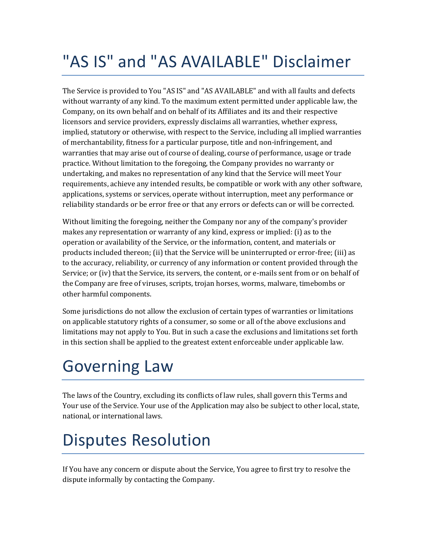## "AS IS" and "AS AVAILABLE" Disclaimer

The Service is provided to You "AS IS" and "AS AVAILABLE" and with all faults and defects without warranty of any kind. To the maximum extent permitted under applicable law, the Company, on its own behalf and on behalf of its Affiliates and its and their respective licensors and service providers, expressly disclaims all warranties, whether express, implied, statutory or otherwise, with respect to the Service, including all implied warranties of merchantability, fitness for a particular purpose, title and non-infringement, and warranties that may arise out of course of dealing, course of performance, usage or trade practice. Without limitation to the foregoing, the Company provides no warranty or undertaking, and makes no representation of any kind that the Service will meet Your requirements, achieve any intended results, be compatible or work with any other software, applications, systems or services, operate without interruption, meet any performance or reliability standards or be error free or that any errors or defects can or will be corrected.

Without limiting the foregoing, neither the Company nor any of the company's provider makes any representation or warranty of any kind, express or implied: (i) as to the operation or availability of the Service, or the information, content, and materials or products included thereon; (ii) that the Service will be uninterrupted or error-free; (iii) as to the accuracy, reliability, or currency of any information or content provided through the Service; or (iv) that the Service, its servers, the content, or e-mails sent from or on behalf of the Company are free of viruses, scripts, trojan horses, worms, malware, timebombs or other harmful components.

Some jurisdictions do not allow the exclusion of certain types of warranties or limitations on applicable statutory rights of a consumer, so some or all of the above exclusions and limitations may not apply to You. But in such a case the exclusions and limitations set forth in this section shall be applied to the greatest extent enforceable under applicable law.

## Governing Law

The laws of the Country, excluding its conflicts of law rules, shall govern this Terms and Your use of the Service. Your use of the Application may also be subject to other local, state, national, or international laws.

### Disputes Resolution

If You have any concern or dispute about the Service, You agree to first try to resolve the dispute informally by contacting the Company.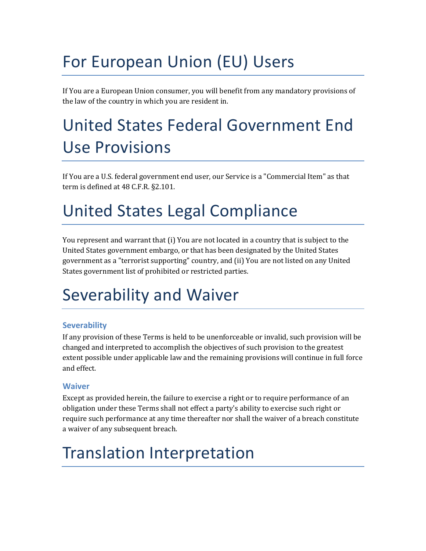## For European Union (EU) Users

If You are a European Union consumer, you will benefit from any mandatory provisions of the law of the country in which you are resident in.

## United States Federal Government End Use Provisions

If You are a U.S. federal government end user, our Service is a "Commercial Item" as that term is defined at 48 C.F.R. §2.101.

## United States Legal Compliance

You represent and warrant that (i) You are not located in a country that is subject to the United States government embargo, or that has been designated by the United States government as a "terrorist supporting" country, and (ii) You are not listed on any United States government list of prohibited or restricted parties.

## Severability and Waiver

### **Severability**

If any provision of these Terms is held to be unenforceable or invalid, such provision will be changed and interpreted to accomplish the objectives of such provision to the greatest extent possible under applicable law and the remaining provisions will continue in full force and effect.

### **Waiver**

Except as provided herein, the failure to exercise a right or to require performance of an obligation under these Terms shall not effect a party's ability to exercise such right or require such performance at any time thereafter nor shall the waiver of a breach constitute a waiver of any subsequent breach.

## Translation Interpretation